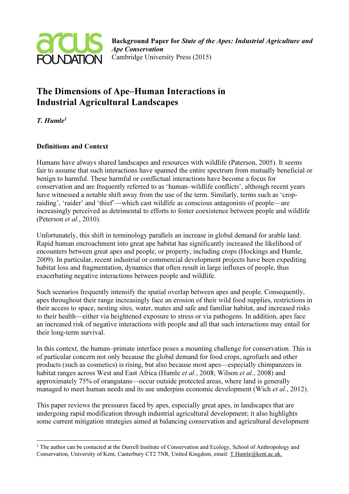

# The Dimensions of Ape–Human Interactions in Industrial Agricultural Landscapes

 $T$  Humle<sup>1</sup>

## Definitions and Context

Humans have always shared landscapes and resources with wildlife (Paterson, 2005). It seems fair to assume that such interactions have spanned the entire spectrum from mutually beneficial or benign to harmful. These harmful or conflictual interactions have become a focus for conservation and are frequently referred to as 'human–wildlife conflicts', although recent years have witnessed a notable shift away from the use of the term. Similarly, terms such as 'cropraiding', 'raider' and 'thief'—which cast wildlife as conscious antagonists of people—are increasingly perceived as detrimental to efforts to foster coexistence between people and wildlife (Peterson et al., 2010).

Unfortunately, this shift in terminology parallels an increase in global demand for arable land. Rapid human encroachment into great ape habitat has significantly increased the likelihood of encounters between great apes and people, or property, including crops (Hockings and Humle, 2009). In particular, recent industrial or commercial development projects have been expediting habitat loss and fragmentation, dynamics that often result in large influxes of people, thus exacerbating negative interactions between people and wildlife.

Such scenarios frequently intensify the spatial overlap between apes and people. Consequently, apes throughout their range increasingly face an erosion of their wild food supplies, restrictions in their access to space, nesting sites, water, mates and safe and familiar habitat, and increased risks to their health—either via heightened exposure to stress or via pathogens. In addition, apes face an increased risk of negative interactions with people and all that such interactions may entail for their long-term survival.

In this context, the human–primate interface poses a mounting challenge for conservation. This is of particular concern not only because the global demand for food crops, agrofuels and other products (such as cosmetics) is rising, but also because most apes—especially chimpanzees in habitat ranges across West and East Africa (Humle et al., 2008; Wilson et al., 2008) and approximately 75% of orangutans—occur outside protected areas, where land is generally managed to meet human needs and its use underpins economic development (Wich *et al.*, 2012).

This paper reviews the pressures faced by apes, especially great apes, in landscapes that are undergoing rapid modification through industrial agricultural development; it also highlights some current mitigation strategies aimed at balancing conservation and agricultural development

 $\overline{a}$ <sup>1</sup> The author can be contacted at the Durrell Institute of Conservation and Ecology, School of Anthropology and Conservation, University of Kent, Canterbury CT2 7NR, United Kingdom, email: T.Humle@kent.ac.uk.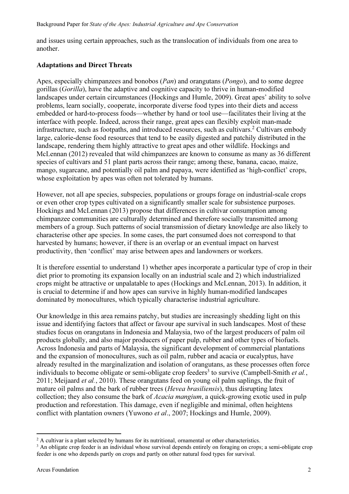and issues using certain approaches, such as the translocation of individuals from one area to another.

### Adaptations and Direct Threats

Apes, especially chimpanzees and bonobos (Pan) and orangutans (Pongo), and to some degree gorillas (Gorilla), have the adaptive and cognitive capacity to thrive in human-modified landscapes under certain circumstances (Hockings and Humle, 2009). Great apes' ability to solve problems, learn socially, cooperate, incorporate diverse food types into their diets and access embedded or hard-to-process foods—whether by hand or tool use—facilitates their living at the interface with people. Indeed, across their range, great apes can flexibly exploit man-made infrastructure, such as footpaths, and introduced resources, such as cultivars.<sup>2</sup> Cultivars embody large, calorie-dense food resources that tend to be easily digested and patchily distributed in the landscape, rendering them highly attractive to great apes and other wildlife. Hockings and McLennan (2012) revealed that wild chimpanzees are known to consume as many as 36 different species of cultivars and 51 plant parts across their range; among these, banana, cacao, maize, mango, sugarcane, and potentially oil palm and papaya, were identified as 'high-conflict' crops, whose exploitation by apes was often not tolerated by humans.

However, not all ape species, subspecies, populations or groups forage on industrial-scale crops or even other crop types cultivated on a significantly smaller scale for subsistence purposes. Hockings and McLennan (2013) propose that differences in cultivar consumption among chimpanzee communities are culturally determined and therefore socially transmitted among members of a group. Such patterns of social transmission of dietary knowledge are also likely to characterise other ape species. In some cases, the part consumed does not correspond to that harvested by humans; however, if there is an overlap or an eventual impact on harvest productivity, then 'conflict' may arise between apes and landowners or workers.

It is therefore essential to understand 1) whether apes incorporate a particular type of crop in their diet prior to promoting its expansion locally on an industrial scale and 2) which industrialized crops might be attractive or unpalatable to apes (Hockings and McLennan, 2013). In addition, it is crucial to determine if and how apes can survive in highly human-modified landscapes dominated by monocultures, which typically characterise industrial agriculture.

Our knowledge in this area remains patchy, but studies are increasingly shedding light on this issue and identifying factors that affect or favour ape survival in such landscapes. Most of these studies focus on orangutans in Indonesia and Malaysia, two of the largest producers of palm oil products globally, and also major producers of paper pulp, rubber and other types of biofuels. Across Indonesia and parts of Malaysia, the significant development of commercial plantations and the expansion of monocultures, such as oil palm, rubber and acacia or eucalyptus, have already resulted in the marginalization and isolation of orangutans, as these processes often force individuals to become obligate or semi-obligate crop feeders<sup>3</sup> to survive (Campbell-Smith et al., 2011; Meijaard *et al.*, 2010). These orangutans feed on young oil palm saplings, the fruit of mature oil palms and the bark of rubber trees *(Hevea brasiliensis)*, thus disrupting latex collection; they also consume the bark of *Acacia mangium*, a quick-growing exotic used in pulp production and reforestation. This damage, even if negligible and minimal, often heightens conflict with plantation owners (Yuwono et al., 2007; Hockings and Humle, 2009).

 $\overline{a}$ 

<sup>&</sup>lt;sup>2</sup> A cultivar is a plant selected by humans for its nutritional, ornamental or other characteristics.

<sup>&</sup>lt;sup>3</sup> An obligate crop feeder is an individual whose survival depends entirely on foraging on crops; a semi-obligate crop feeder is one who depends partly on crops and partly on other natural food types for survival.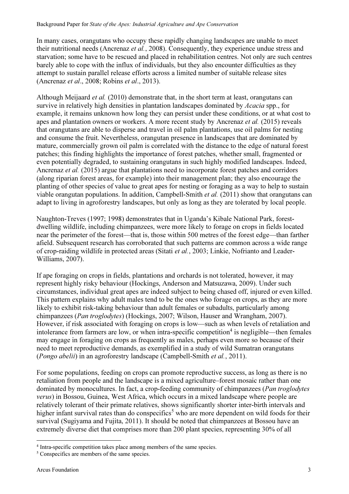In many cases, orangutans who occupy these rapidly changing landscapes are unable to meet their nutritional needs (Ancrenaz *et al.*, 2008). Consequently, they experience undue stress and starvation; some have to be rescued and placed in rehabilitation centres. Not only are such centres barely able to cope with the influx of individuals, but they also encounter difficulties as they attempt to sustain parallel release efforts across a limited number of suitable release sites (Ancrenaz et al., 2008; Robins et al., 2013).

Although Meijaard et al. (2010) demonstrate that, in the short term at least, orangutans can survive in relatively high densities in plantation landscapes dominated by *Acacia* spp., for example, it remains unknown how long they can persist under these conditions, or at what cost to apes and plantation owners or workers. A more recent study by Ancrenaz *et al.* (2015) reveals that orangutans are able to disperse and travel in oil palm plantations, use oil palms for nesting and consume the fruit. Nevertheless, orangutan presence in landscapes that are dominated by mature, commercially grown oil palm is correlated with the distance to the edge of natural forest patches; this finding highlights the importance of forest patches, whether small, fragmented or even potentially degraded, to sustaining orangutans in such highly modified landscapes. Indeed, Ancrenaz et al. (2015) argue that plantations need to incorporate forest patches and corridors (along riparian forest areas, for example) into their management plan; they also encourage the planting of other species of value to great apes for nesting or foraging as a way to help to sustain viable orangutan populations. In addition, Campbell-Smith et al. (2011) show that orangutans can adapt to living in agroforestry landscapes, but only as long as they are tolerated by local people.

Naughton-Treves (1997; 1998) demonstrates that in Uganda's Kibale National Park, forestdwelling wildlife, including chimpanzees, were more likely to forage on crops in fields located near the perimeter of the forest—that is, those within 500 metres of the forest edge—than farther afield. Subsequent research has corroborated that such patterns are common across a wide range of crop-raiding wildlife in protected areas (Sitati et al., 2003; Linkie, Nofrianto and Leader-Williams, 2007).

If ape foraging on crops in fields, plantations and orchards is not tolerated, however, it may represent highly risky behaviour (Hockings, Anderson and Matsuzawa, 2009). Under such circumstances, individual great apes are indeed subject to being chased off, injured or even killed. This pattern explains why adult males tend to be the ones who forage on crops, as they are more likely to exhibit risk-taking behaviour than adult females or subadults, particularly among chimpanzees (Pan troglodytes) (Hockings, 2007; Wilson, Hauser and Wrangham, 2007). However, if risk associated with foraging on crops is low—such as when levels of retaliation and intolerance from farmers are low, or when intra-specific competition<sup>4</sup> is negligible—then females may engage in foraging on crops as frequently as males, perhaps even more so because of their need to meet reproductive demands, as exemplified in a study of wild Sumatran orangutans (Pongo abelii) in an agroforestry landscape (Campbell-Smith et al., 2011).

For some populations, feeding on crops can promote reproductive success, as long as there is no retaliation from people and the landscape is a mixed agriculture–forest mosaic rather than one dominated by monocultures. In fact, a crop-feeding community of chimpanzees (*Pan troglodytes* verus) in Bossou, Guinea, West Africa, which occurs in a mixed landscape where people are relatively tolerant of their primate relatives, shows significantly shorter inter-birth intervals and higher infant survival rates than do conspecifics<sup>5</sup> who are more dependent on wild foods for their survival (Sugiyama and Fujita, 2011). It should be noted that chimpanzees at Bossou have an extremely diverse diet that comprises more than 200 plant species, representing 30% of all

 $\overline{a}$ 

<sup>4</sup> Intra-specific competition takes place among members of the same species.

<sup>&</sup>lt;sup>5</sup> Conspecifics are members of the same species.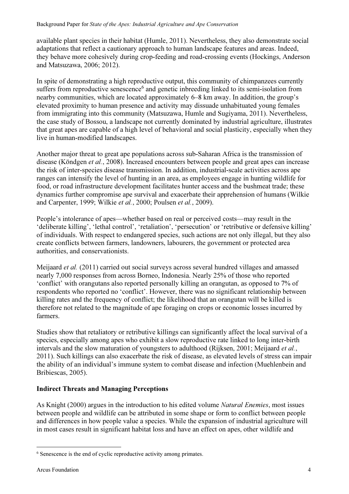available plant species in their habitat (Humle, 2011). Nevertheless, they also demonstrate social adaptations that reflect a cautionary approach to human landscape features and areas. Indeed, they behave more cohesively during crop-feeding and road-crossing events (Hockings, Anderson and Matsuzawa, 2006; 2012).

In spite of demonstrating a high reproductive output, this community of chimpanzees currently suffers from reproductive senescence<sup>6</sup> and genetic inbreeding linked to its semi-isolation from nearby communities, which are located approximately 6–8 km away. In addition, the group's elevated proximity to human presence and activity may dissuade unhabituated young females from immigrating into this community (Matsuzawa, Humle and Sugiyama, 2011). Nevertheless, the case study of Bossou, a landscape not currently dominated by industrial agriculture, illustrates that great apes are capable of a high level of behavioral and social plasticity, especially when they live in human-modified landscapes.

Another major threat to great ape populations across sub-Saharan Africa is the transmission of disease (Köndgen *et al.*, 2008). Increased encounters between people and great apes can increase the risk of inter-species disease transmission. In addition, industrial-scale activities across ape ranges can intensify the level of hunting in an area, as employees engage in hunting wildlife for food, or road infrastructure development facilitates hunter access and the bushmeat trade; these dynamics further compromise ape survival and exacerbate their apprehension of humans (Wilkie and Carpenter, 1999; Wilkie et al., 2000; Poulsen et al., 2009).

People's intolerance of apes—whether based on real or perceived costs—may result in the 'deliberate killing', 'lethal control', 'retaliation', 'persecution' or 'retributive or defensive killing' of individuals. With respect to endangered species, such actions are not only illegal, but they also create conflicts between farmers, landowners, labourers, the government or protected area authorities, and conservationists.

Meijaard et al. (2011) carried out social surveys across several hundred villages and amassed nearly 7,000 responses from across Borneo, Indonesia. Nearly 25% of those who reported 'conflict' with orangutans also reported personally killing an orangutan, as opposed to 7% of respondents who reported no 'conflict'. However, there was no significant relationship between killing rates and the frequency of conflict; the likelihood that an orangutan will be killed is therefore not related to the magnitude of ape foraging on crops or economic losses incurred by farmers.

Studies show that retaliatory or retributive killings can significantly affect the local survival of a species, especially among apes who exhibit a slow reproductive rate linked to long inter-birth intervals and the slow maturation of youngsters to adulthood (Rijksen, 2001; Meijaard et al., 2011). Such killings can also exacerbate the risk of disease, as elevated levels of stress can impair the ability of an individual's immune system to combat disease and infection (Muehlenbein and Bribiescas, 2005).

#### Indirect Threats and Managing Perceptions

As Knight (2000) argues in the introduction to his edited volume *Natural Enemies*, most issues between people and wildlife can be attributed in some shape or form to conflict between people and differences in how people value a species. While the expansion of industrial agriculture will in most cases result in significant habitat loss and have an effect on apes, other wildlife and

 $\overline{a}$ 

<sup>&</sup>lt;sup>6</sup> Senescence is the end of cyclic reproductive activity among primates.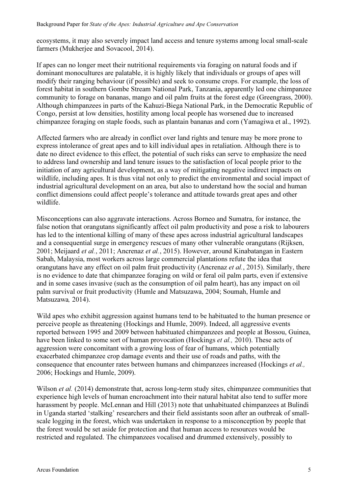ecosystems, it may also severely impact land access and tenure systems among local small-scale farmers (Mukherjee and Sovacool, 2014).

If apes can no longer meet their nutritional requirements via foraging on natural foods and if dominant monocultures are palatable, it is highly likely that individuals or groups of apes will modify their ranging behaviour (if possible) and seek to consume crops. For example, the loss of forest habitat in southern Gombe Stream National Park, Tanzania, apparently led one chimpanzee community to forage on bananas, mango and oil palm fruits at the forest edge (Greengrass, 2000). Although chimpanzees in parts of the Kahuzi-Biega National Park, in the Democratic Republic of Congo, persist at low densities, hostility among local people has worsened due to increased chimpanzee foraging on staple foods, such as plantain bananas and corn (Yamagiwa et al., 1992).

Affected farmers who are already in conflict over land rights and tenure may be more prone to express intolerance of great apes and to kill individual apes in retaliation. Although there is to date no direct evidence to this effect, the potential of such risks can serve to emphasize the need to address land ownership and land tenure issues to the satisfaction of local people prior to the initiation of any agricultural development, as a way of mitigating negative indirect impacts on wildlife, including apes. It is thus vital not only to predict the environmental and social impact of industrial agricultural development on an area, but also to understand how the social and human conflict dimensions could affect people's tolerance and attitude towards great apes and other wildlife.

Misconceptions can also aggravate interactions. Across Borneo and Sumatra, for instance, the false notion that orangutans significantly affect oil palm productivity and pose a risk to labourers has led to the intentional killing of many of these apes across industrial agricultural landscapes and a consequential surge in emergency rescues of many other vulnerable orangutans (Rijksen, 2001; Meijaard et al., 2011; Ancrenaz et al., 2015). However, around Kinabatangan in Eastern Sabah, Malaysia, most workers across large commercial plantations refute the idea that orangutans have any effect on oil palm fruit productivity (Ancrenaz et al., 2015). Similarly, there is no evidence to date that chimpanzee foraging on wild or feral oil palm parts, even if extensive and in some cases invasive (such as the consumption of oil palm heart), has any impact on oil palm survival or fruit productivity (Humle and Matsuzawa, 2004; Soumah, Humle and Matsuzawa, 2014).

Wild apes who exhibit aggression against humans tend to be habituated to the human presence or perceive people as threatening (Hockings and Humle, 2009). Indeed, all aggressive events reported between 1995 and 2009 between habituated chimpanzees and people at Bossou, Guinea, have been linked to some sort of human provocation (Hockings *et al.*, 2010). These acts of aggression were concomitant with a growing loss of fear of humans, which potentially exacerbated chimpanzee crop damage events and their use of roads and paths, with the consequence that encounter rates between humans and chimpanzees increased (Hockings et al., 2006; Hockings and Humle, 2009).

Wilson et al. (2014) demonstrate that, across long-term study sites, chimpanzee communities that experience high levels of human encroachment into their natural habitat also tend to suffer more harassment by people. McLennan and Hill (2013) note that unhabituated chimpanzees at Bulindi in Uganda started 'stalking' researchers and their field assistants soon after an outbreak of smallscale logging in the forest, which was undertaken in response to a misconception by people that the forest would be set aside for protection and that human access to resources would be restricted and regulated. The chimpanzees vocalised and drummed extensively, possibly to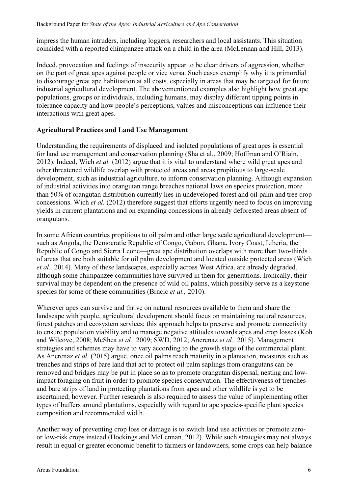impress the human intruders, including loggers, researchers and local assistants. This situation coincided with a reported chimpanzee attack on a child in the area (McLennan and Hill, 2013).

Indeed, provocation and feelings of insecurity appear to be clear drivers of aggression, whether on the part of great apes against people or vice versa. Such cases exemplify why it is primordial to discourage great ape habituation at all costs, especially in areas that may be targeted for future industrial agricultural development. The abovementioned examples also highlight how great ape populations, groups or individuals, including humans, may display different tipping points in tolerance capacity and how people's perceptions, values and misconceptions can influence their interactions with great apes.

#### Agricultural Practices and Land Use Management

Understanding the requirements of displaced and isolated populations of great apes is essential for land use management and conservation planning (Sha et al., 2009; Hoffman and O'Riain, 2012). Indeed, Wich et al. (2012) argue that it is vital to understand where wild great apes and other threatened wildlife overlap with protected areas and areas propitious to large-scale development, such as industrial agriculture, to inform conservation planning. Although expansion of industrial activities into orangutan range breaches national laws on species protection, more than 50% of orangutan distribution currently lies in undeveloped forest and oil palm and tree crop concessions. Wich et al. (2012) therefore suggest that efforts urgently need to focus on improving yields in current plantations and on expanding concessions in already deforested areas absent of orangutans.

In some African countries propitious to oil palm and other large scale agricultural development such as Angola, the Democratic Republic of Congo, Gabon, Ghana, Ivory Coast, Liberia, the Republic of Congo and Sierra Leone—great ape distribution overlaps with more than two-thirds of areas that are both suitable for oil palm development and located outside protected areas (Wich et al., 2014). Many of these landscapes, especially across West Africa, are already degraded, although some chimpanzee communities have survived in them for generations. Ironically, their survival may be dependent on the presence of wild oil palms, which possibly serve as a keystone species for some of these communities (Brncic et al., 2010).

Wherever apes can survive and thrive on natural resources available to them and share the landscape with people, agricultural development should focus on maintaining natural resources, forest patches and ecosystem services; this approach helps to preserve and promote connectivity to ensure population viability and to manage negative attitudes towards apes and crop losses (Koh and Wilcove, 2008; McShea et al., 2009; SWD, 2012; Ancrenaz et al., 2015). Management strategies and schemes may have to vary according to the growth stage of the commercial plant. As Ancrenaz *et al.* (2015) argue, once oil palms reach maturity in a plantation, measures such as trenches and strips of bare land that act to protect oil palm saplings from orangutans can be removed and bridges may be put in place so as to promote orangutan dispersal, nesting and lowimpact foraging on fruit in order to promote species conservation. The effectiveness of trenches and bare strips of land in protecting plantations from apes and other wildlife is yet to be ascertained, however. Further research is also required to assess the value of implementing other types of buffers around plantations, especially with regard to ape species-specific plant species composition and recommended width.

Another way of preventing crop loss or damage is to switch land use activities or promote zeroor low-risk crops instead (Hockings and McLennan, 2012). While such strategies may not always result in equal or greater economic benefit to farmers or landowners, some crops can help balance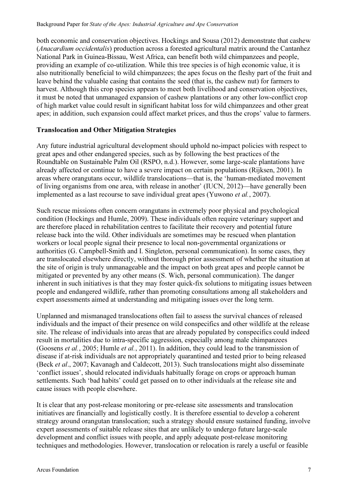both economic and conservation objectives. Hockings and Sousa (2012) demonstrate that cashew (Anacardium occidentalis) production across a forested agricultural matrix around the Cantanhez National Park in Guinea-Bissau, West Africa, can benefit both wild chimpanzees and people, providing an example of co-utilization. While this tree species is of high economic value, it is also nutritionally beneficial to wild chimpanzees; the apes focus on the fleshy part of the fruit and leave behind the valuable casing that contains the seed (that is, the cashew nut) for farmers to harvest. Although this crop species appears to meet both livelihood and conservation objectives, it must be noted that unmanaged expansion of cashew plantations or any other low-conflict crop of high market value could result in significant habitat loss for wild chimpanzees and other great apes; in addition, such expansion could affect market prices, and thus the crops' value to farmers.

#### Translocation and Other Mitigation Strategies

Any future industrial agricultural development should uphold no-impact policies with respect to great apes and other endangered species, such as by following the best practices of the Roundtable on Sustainable Palm Oil (RSPO, n.d.). However, some large-scale plantations have already affected or continue to have a severe impact on certain populations (Rijksen, 2001). In areas where orangutans occur, wildlife translocations—that is, the 'human-mediated movement of living organisms from one area, with release in another' (IUCN, 2012)—have generally been implemented as a last recourse to save individual great apes (Yuwono *et al.*, 2007).

Such rescue missions often concern orangutans in extremely poor physical and psychological condition (Hockings and Humle, 2009). These individuals often require veterinary support and are therefore placed in rehabilitation centres to facilitate their recovery and potential future release back into the wild. Other individuals are sometimes may be rescued when plantation workers or local people signal their presence to local non-governmental organizations or authorities (G. Campbell-Smith and I. Singleton, personal communication). In some cases, they are translocated elsewhere directly, without thorough prior assessment of whether the situation at the site of origin is truly unmanageable and the impact on both great apes and people cannot be mitigated or prevented by any other means (S. Wich, personal communication). The danger inherent in such initiatives is that they may foster quick-fix solutions to mitigating issues between people and endangered wildlife, rather than promoting consultations among all stakeholders and expert assessments aimed at understanding and mitigating issues over the long term.

Unplanned and mismanaged translocations often fail to assess the survival chances of released individuals and the impact of their presence on wild conspecifics and other wildlife at the release site. The release of individuals into areas that are already populated by conspecifics could indeed result in mortalities due to intra-specific aggression, especially among male chimpanzees (Goosens et al., 2005; Humle et al., 2011). In addition, they could lead to the transmission of disease if at-risk individuals are not appropriately quarantined and tested prior to being released (Beck et al., 2007; Kavanagh and Caldecott, 2013). Such translocations might also disseminate 'conflict issues', should relocated individuals habitually forage on crops or approach human settlements. Such 'bad habits' could get passed on to other individuals at the release site and cause issues with people elsewhere.

It is clear that any post-release monitoring or pre-release site assessments and translocation initiatives are financially and logistically costly. It is therefore essential to develop a coherent strategy around orangutan translocation; such a strategy should ensure sustained funding, involve expert assessments of suitable release sites that are unlikely to undergo future large-scale development and conflict issues with people, and apply adequate post-release monitoring techniques and methodologies. However, translocation or relocation is rarely a useful or feasible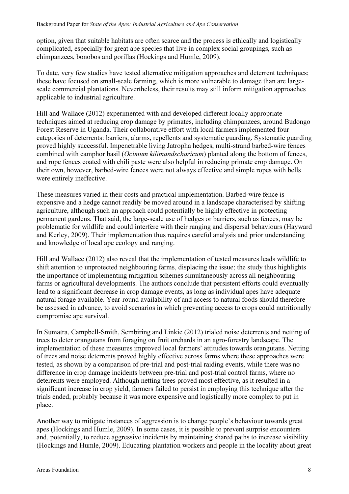option, given that suitable habitats are often scarce and the process is ethically and logistically complicated, especially for great ape species that live in complex social groupings, such as chimpanzees, bonobos and gorillas (Hockings and Humle, 2009).

To date, very few studies have tested alternative mitigation approaches and deterrent techniques; these have focused on small-scale farming, which is more vulnerable to damage than are largescale commercial plantations. Nevertheless, their results may still inform mitigation approaches applicable to industrial agriculture.

Hill and Wallace (2012) experimented with and developed different locally appropriate techniques aimed at reducing crop damage by primates, including chimpanzees, around Budongo Forest Reserve in Uganda. Their collaborative effort with local farmers implemented four categories of deterrents: barriers, alarms, repellents and systematic guarding. Systematic guarding proved highly successful. Impenetrable living Jatropha hedges, multi-strand barbed-wire fences combined with camphor basil (Ocimum kilimandscharicum) planted along the bottom of fences, and rope fences coated with chili paste were also helpful in reducing primate crop damage. On their own, however, barbed-wire fences were not always effective and simple ropes with bells were entirely ineffective.

These measures varied in their costs and practical implementation. Barbed-wire fence is expensive and a hedge cannot readily be moved around in a landscape characterised by shifting agriculture, although such an approach could potentially be highly effective in protecting permanent gardens. That said, the large-scale use of hedges or barriers, such as fences, may be problematic for wildlife and could interfere with their ranging and dispersal behaviours (Hayward and Kerley, 2009). Their implementation thus requires careful analysis and prior understanding and knowledge of local ape ecology and ranging.

Hill and Wallace (2012) also reveal that the implementation of tested measures leads wildlife to shift attention to unprotected neighbouring farms, displacing the issue; the study thus highlights the importance of implementing mitigation schemes simultaneously across all neighbouring farms or agricultural developments. The authors conclude that persistent efforts could eventually lead to a significant decrease in crop damage events, as long as individual apes have adequate natural forage available. Year-round availability of and access to natural foods should therefore be assessed in advance, to avoid scenarios in which preventing access to crops could nutritionally compromise ape survival.

In Sumatra, Campbell-Smith, Sembiring and Linkie (2012) trialed noise deterrents and netting of trees to deter orangutans from foraging on fruit orchards in an agro-forestry landscape. The implementation of these measures improved local farmers' attitudes towards orangutans. Netting of trees and noise deterrents proved highly effective across farms where these approaches were tested, as shown by a comparison of pre-trial and post-trial raiding events, while there was no difference in crop damage incidents between pre-trial and post-trial control farms, where no deterrents were employed. Although netting trees proved most effective, as it resulted in a significant increase in crop yield, farmers failed to persist in employing this technique after the trials ended, probably because it was more expensive and logistically more complex to put in place.

Another way to mitigate instances of aggression is to change people's behaviour towards great apes (Hockings and Humle, 2009). In some cases, it is possible to prevent surprise encounters and, potentially, to reduce aggressive incidents by maintaining shared paths to increase visibility (Hockings and Humle, 2009). Educating plantation workers and people in the locality about great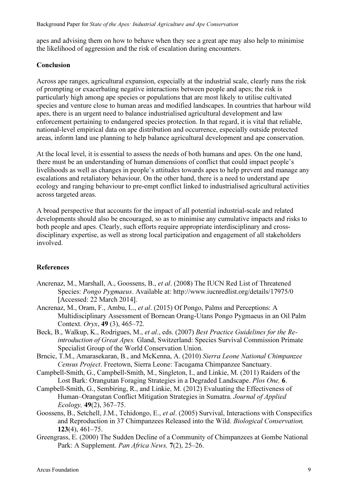apes and advising them on how to behave when they see a great ape may also help to minimise the likelihood of aggression and the risk of escalation during encounters.

## Conclusion

Across ape ranges, agricultural expansion, especially at the industrial scale, clearly runs the risk of prompting or exacerbating negative interactions between people and apes; the risk is particularly high among ape species or populations that are most likely to utilise cultivated species and venture close to human areas and modified landscapes. In countries that harbour wild apes, there is an urgent need to balance industrialised agricultural development and law enforcement pertaining to endangered species protection. In that regard, it is vital that reliable, national-level empirical data on ape distribution and occurrence, especially outside protected areas, inform land use planning to help balance agricultural development and ape conservation.

At the local level, it is essential to assess the needs of both humans and apes. On the one hand, there must be an understanding of human dimensions of conflict that could impact people's livelihoods as well as changes in people's attitudes towards apes to help prevent and manage any escalations and retaliatory behaviour. On the other hand, there is a need to understand ape ecology and ranging behaviour to pre-empt conflict linked to industrialised agricultural activities across targeted areas.

A broad perspective that accounts for the impact of all potential industrial-scale and related developments should also be encouraged, so as to minimise any cumulative impacts and risks to both people and apes. Clearly, such efforts require appropriate interdisciplinary and crossdisciplinary expertise, as well as strong local participation and engagement of all stakeholders involved.

## References

- Ancrenaz, M., Marshall, A., Goossens, B., et al. (2008) The IUCN Red List of Threatened Species: Pongo Pygmaeus. Available at: http://www.iucnredlist.org/details/17975/0 [Accessed: 22 March 2014].
- Ancrenaz, M., Oram, F., Ambu, L., et al. (2015) Of Pongo, Palms and Perceptions: A Multidisciplinary Assessment of Bornean Orang-Utans Pongo Pygmaeus in an Oil Palm Context. Oryx, 49 (3), 465–72.
- Beck, B., Walkup, K., Rodrigues, M., et al., eds. (2007) Best Practice Guidelines for the Reintroduction of Great Apes. Gland, Switzerland: Species Survival Commission Primate Specialist Group of the World Conservation Union.
- Brncic, T.M., Amarasekaran, B., and McKenna, A. (2010) Sierra Leone National Chimpanzee Census Project. Freetown, Sierra Leone: Tacugama Chimpanzee Sanctuary.
- Campbell-Smith, G., Campbell-Smith, M., Singleton, I., and Linkie, M. (2011) Raiders of the Lost Bark: Orangutan Foraging Strategies in a Degraded Landscape. Plos One, 6.
- Campbell-Smith, G., Sembiring, R., and Linkie, M. (2012) Evaluating the Effectiveness of Human–Orangutan Conflict Mitigation Strategies in Sumatra. Journal of Applied Ecology, 49(2), 367–75.
- Goossens, B., Setchell, J.M., Tchidongo, E., et al. (2005) Survival, Interactions with Conspecifics and Reproduction in 37 Chimpanzees Released into the Wild. Biological Conservation, 123(4), 461–75.
- Greengrass, E. (2000) The Sudden Decline of a Community of Chimpanzees at Gombe National Park: A Supplement. Pan Africa News, 7(2), 25–26.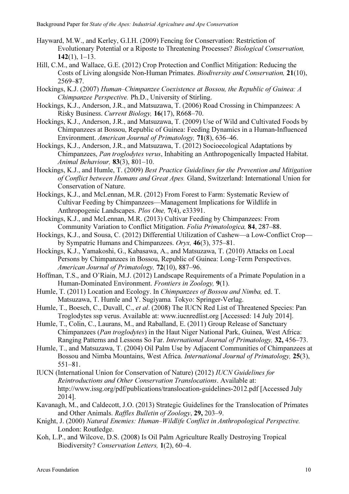- Hayward, M.W., and Kerley, G.I.H. (2009) Fencing for Conservation: Restriction of Evolutionary Potential or a Riposte to Threatening Processes? Biological Conservation,  $142(1)$ ,  $1-13$ .
- Hill, C.M., and Wallace, G.E. (2012) Crop Protection and Conflict Mitigation: Reducing the Costs of Living alongside Non-Human Primates. Biodiversity and Conservation, 21(10), 2569–87.
- Hockings, K.J. (2007) Human–Chimpanzee Coexistence at Bossou, the Republic of Guinea: A Chimpanzee Perspective. Ph.D., University of Stirling.
- Hockings, K.J., Anderson, J.R., and Matsuzawa, T. (2006) Road Crossing in Chimpanzees: A Risky Business. Current Biology, 16(17), R668–70.
- Hockings, K.J., Anderson, J.R., and Matsuzawa, T. (2009) Use of Wild and Cultivated Foods by Chimpanzees at Bossou, Republic of Guinea: Feeding Dynamics in a Human-Influenced Environment. American Journal of Primatology, 71(8), 636–46.
- Hockings, K.J., Anderson, J.R., and Matsuzawa, T. (2012) Socioecological Adaptations by Chimpanzees, Pan troglodytes verus, Inhabiting an Anthropogenically Impacted Habitat. Animal Behaviour,  $83(3)$ ,  $801-10$ .
- Hockings, K.J., and Humle, T. (2009) Best Practice Guidelines for the Prevention and Mitigation of Conflict between Humans and Great Apes. Gland, Switzerland: International Union for Conservation of Nature.
- Hockings, K.J., and McLennan, M.R. (2012) From Forest to Farm: Systematic Review of Cultivar Feeding by Chimpanzees—Management Implications for Wildlife in Anthropogenic Landscapes. Plos One, 7(4), e33391.
- Hockings, K.J., and McLennan, M.R. (2013) Cultivar Feeding by Chimpanzees: From Community Variation to Conflict Mitigation. Folia Primatologica, 84, 287–88.
- Hockings, K.J., and Sousa, C. (2012) Differential Utilization of Cashew—a Low-Conflict Crop by Sympatric Humans and Chimpanzees. Oryx, 46(3), 375–81.
- Hockings, K.J., Yamakoshi, G., Kabasawa, A., and Matsuzawa, T. (2010) Attacks on Local Persons by Chimpanzees in Bossou, Republic of Guinea: Long-Term Perspectives. American Journal of Primatology, 72(10), 887–96.
- Hoffman, T.S., and O'Riain, M.J. (2012) Landscape Requirements of a Primate Population in a Human-Dominated Environment. Frontiers in Zoology, 9(1).
- Humle, T. (2011) Location and Ecology. In Chimpanzees of Bossou and Nimba, ed. T. Matsuzawa, T. Humle and Y. Sugiyama. Tokyo: Springer-Verlag.
- Humle, T., Boesch, C., Duvall, C., et al. (2008) The IUCN Red List of Threatened Species: Pan Troglodytes ssp verus. Available at: www.iucnredlist.org [Accessed: 14 July 2014].
- Humle, T., Colin, C., Laurans, M., and Raballand, E. (2011) Group Release of Sanctuary Chimpanzees (Pan troglodytes) in the Haut Niger National Park, Guinea, West Africa: Ranging Patterns and Lessons So Far. International Journal of Primatology, 32, 456–73.
- Humle, T., and Matsuzawa, T. (2004) Oil Palm Use by Adjacent Communities of Chimpanzees at Bossou and Nimba Mountains, West Africa. International Journal of Primatology, 25(3), 551–81.
- IUCN (International Union for Conservation of Nature) (2012) IUCN Guidelines for Reintroductions and Other Conservation Translocations. Available at: http://www.issg.org/pdf/publications/translocation-guidelines-2012.pdf [Accessed July 2014].
- Kavanagh, M., and Caldecott, J.O. (2013) Strategic Guidelines for the Translocation of Primates and Other Animals. Raffles Bulletin of Zoology, 29, 203–9.
- Knight, J. (2000) Natural Enemies: Human–Wildlife Conflict in Anthropological Perspective. London: Routledge.
- Koh, L.P., and Wilcove, D.S. (2008) Is Oil Palm Agriculture Really Destroying Tropical Biodiversity? Conservation Letters, 1(2), 60–4.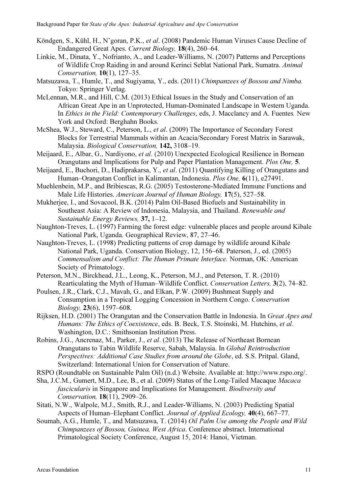- Köndgen, S., Kühl, H., N'goran, P.K., et al. (2008) Pandemic Human Viruses Cause Decline of Endangered Great Apes. Current Biology, 18(4), 260–64.
- Linkie, M., Dinata, Y., Nofrianto, A., and Leader-Williams, N. (2007) Patterns and Perceptions of Wildlife Crop Raiding in and around Kerinci Seblat National Park, Sumatra. Animal Conservation, 10(1), 127–35.
- Matsuzawa, T., Humle, T., and Sugiyama, Y., eds. (2011) Chimpanzees of Bossou and Nimba. Tokyo: Springer Verlag.
- McLennan, M.R., and Hill, C.M. (2013) Ethical Issues in the Study and Conservation of an African Great Ape in an Unprotected, Human-Dominated Landscape in Western Uganda. In Ethics in the Field: Contemporary Challenges, eds, J. Macclancy and A. Fuentes. New York and Oxford: Berghahn Books.
- McShea, W.J., Steward, C., Peterson, L., et al. (2009) The Importance of Secondary Forest Blocks for Terrestrial Mammals within an Acacia/Secondary Forest Matrix in Sarawak, Malaysia. Biological Conservation, 142, 3108–19.
- Meijaard, E., Albar, G., Nardiyono, et al. (2010) Unexpected Ecological Resilience in Bornean Orangutans and Implications for Pulp and Paper Plantation Management. Plos One, 5.
- Meijaard, E., Buchori, D., Hadiprakarsa, Y., et al. (2011) Quantifying Killing of Orangutans and Human–Orangutan Conflict in Kalimantan, Indonesia. Plos One, 6(11), e27491.
- Muehlenbein, M.P., and Bribiescas, R.G. (2005) Testosterone-Mediated Immune Functions and Male Life Histories. American Journal of Human Biology, 17(5), 527–58.
- Mukherjee, I., and Sovacool, B.K. (2014) Palm Oil-Based Biofuels and Sustainability in Southeast Asia: A Review of Indonesia, Malaysia, and Thailand. Renewable and Sustainable Energy Reviews, 37, 1–12.
- Naughton-Treves, L. (1997) Farming the forest edge: vulnerable places and people around Kibale National Park, Uganda. Geographical Review, 87, 27–46.
- Naughton-Treves, L. (1998) Predicting patterns of crop damage by wildlife around Kibale National Park, Uganda. Conservation Biology, 12, 156–68. Paterson, J., ed. (2005) Commensalism and Conflict: The Human Primate Interface. Norman, OK: American Society of Primatology.
- Peterson, M.N., Birckhead, J.L., Leong, K., Peterson, M.J., and Peterson, T. R. (2010) Rearticulating the Myth of Human–Wildlife Conflict. Conservation Letters, 3(2), 74–82.
- Poulsen, J.R., Clark, C.J., Mavah, G., and Elkan, P.W. (2009) Bushmeat Supply and Consumption in a Tropical Logging Concession in Northern Congo. Conservation Biology, 23(6), 1597–608.
- Rijksen, H.D. (2001) The Orangutan and the Conservation Battle in Indonesia. In Great Apes and Humans: The Ethics of Coexistence, eds. B. Beck, T.S. Stoinski, M. Hutchins, et al. Washington, D.C.: Smithsonian Institution Press.
- Robins, J.G., Ancrenaz, M., Parker, J., et al. (2013) The Release of Northeast Bornean Orangutans to Tabin Wildlife Reserve, Sabah, Malaysia. In Global Reintroduction Perspectives: Additional Case Studies from around the Globe, ed. S.S. Pritpal. Gland, Switzerland: International Union for Conservation of Nature.
- RSPO (Roundtable on Sustainable Palm Oil) (n.d.) Website. Available at: http://www.rspo.org/.
- Sha, J.C.M., Gumert, M.D., Lee, B., et al. (2009) Status of the Long-Tailed Macaque Macaca fascicularis in Singapore and Implications for Management. Biodiversity and Conservation, 18(11), 2909–26.
- Sitati, N.W., Walpole, M.J., Smith, R.J., and Leader-Williams, N. (2003) Predicting Spatial Aspects of Human–Elephant Conflict. Journal of Applied Ecology, 40(4), 667–77.
- Soumah, A.G., Humle, T., and Matsuzawa, T. (2014) Oil Palm Use among the People and Wild Chimpanzees of Bossou, Guinea, West Africa. Conference abstract. International Primatological Society Conference, August 15, 2014: Hanoi, Vietman.